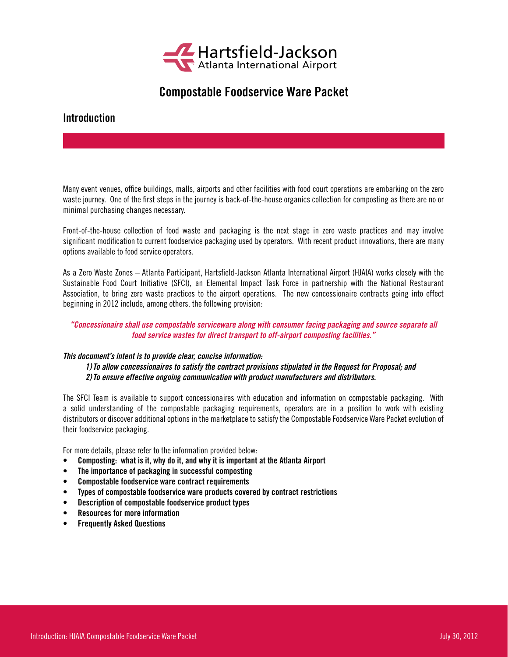

# Compostable Foodservice Ware Packet

# Introduction

Many event venues, office buildings, malls, airports and other facilities with food court operations are embarking on the zero waste journey. One of the first steps in the journey is back-of-the-house organics collection for composting as there are no or minimal purchasing changes necessary.

Front-of-the-house collection of food waste and packaging is the next stage in zero waste practices and may involve significant modification to current foodservice packaging used by operators. With recent product innovations, there are many options available to food service operators.

As a Zero Waste Zones – Atlanta Participant, Hartsfield-Jackson Atlanta International Airport (HJAIA) works closely with the Sustainable Food Court Initiative (SFCI), an Elemental Impact Task Force in partnership with the National Restaurant Association, to bring zero waste practices to the airport operations. The new concessionaire contracts going into effect beginning in 2012 include, among others, the following provision:

# *"Concessionaire shall use compostable serviceware along with consumer facing packaging and source separate all food service wastes for direct transport to off-airport composting facilities."*

# *This document's intent is to provide clear, concise information:*

*1)To allow concessionaires to satisfy the contract provisions stipulated in the Request for Proposal; and 2)To ensure effective ongoing communication with product manufacturers and distributors.*

The SFCI Team is available to support concessionaires with education and information on compostable packaging. With a solid understanding of the compostable packaging requirements, operators are in a position to work with existing distributors or discover additional options in the marketplace to satisfy the Compostable Foodservice Ware Packet evolution of their foodservice packaging.

For more details, please refer to the information provided below:

- • Composting: what is it, why do it, and why it is important at the Atlanta Airport
- The importance of packaging in successful composting
- • Compostable foodservice ware contract requirements
- • Types of compostable foodservice ware products covered by contract restrictions
- • Description of compostable foodservice product types
- **Resources for more information**
- • Frequently Asked Questions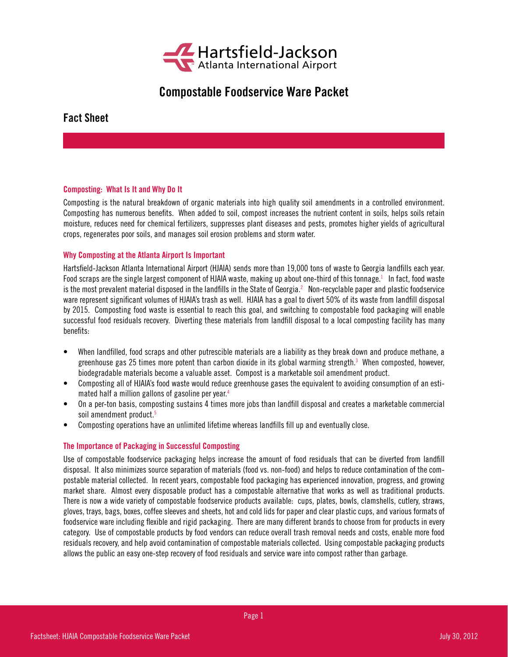

# Compostable Foodservice Ware Packet

Fact Sheet

# Composting: What Is It and Why Do It

Composting is the natural breakdown of organic materials into high quality soil amendments in a controlled environment. Composting has numerous benefits. When added to soil, compost increases the nutrient content in soils, helps soils retain moisture, reduces need for chemical fertilizers, suppresses plant diseases and pests, promotes higher yields of agricultural crops, regenerates poor soils, and manages soil erosion problems and storm water.

# Why Composting at the Atlanta Airport Is Important

Hartsfield-Jackson Atlanta International Airport (HJAIA) sends more than 19,000 tons of waste to Georgia landfills each year. Food scraps are the single largest component of HJAIA waste, making up about one-third of this tonnage. $^1$  In fact, food waste is the most prevalent material disposed in the landfills in the State of Georgia.<sup>2</sup> Non-recyclable paper and plastic foodservice ware represent significant volumes of HJAIA's trash as well. HJAIA has a goal to divert 50% of its waste from landfill disposal by 2015. Composting food waste is essential to reach this goal, and switching to compostable food packaging will enable successful food residuals recovery. Diverting these materials from landfill disposal to a local composting facility has many benefits:

- When landfilled, food scraps and other putrescible materials are a liability as they break down and produce methane, a greenhouse gas 25 times more potent than carbon dioxide in its global warming strength.<sup>3</sup> When composted, however, biodegradable materials become a valuable asset. Compost is a marketable soil amendment product.
- Composting all of HJAIA's food waste would reduce greenhouse gases the equivalent to avoiding consumption of an estimated half a million gallons of gasoline per year.4
- • On a per-ton basis, composting sustains 4 times more jobs than landfill disposal and creates a marketable commercial soil amendment product.<sup>5</sup>
- Composting operations have an unlimited lifetime whereas landfills fill up and eventually close.

# The Importance of Packaging in Successful Composting

Use of compostable foodservice packaging helps increase the amount of food residuals that can be diverted from landfill disposal. It also minimizes source separation of materials (food vs. non-food) and helps to reduce contamination of the compostable material collected. In recent years, compostable food packaging has experienced innovation, progress, and growing market share. Almost every disposable product has a compostable alternative that works as well as traditional products. There is now a wide variety of compostable foodservice products available: cups, plates, bowls, clamshells, cutlery, straws, gloves, trays, bags, boxes, coffee sleeves and sheets, hot and cold lids for paper and clear plastic cups, and various formats of foodservice ware including flexible and rigid packaging. There are many different brands to choose from for products in every category. Use of compostable products by food vendors can reduce overall trash removal needs and costs, enable more food residuals recovery, and help avoid contamination of compostable materials collected. Using compostable packaging products allows the public an easy one-step recovery of food residuals and service ware into compost rather than garbage.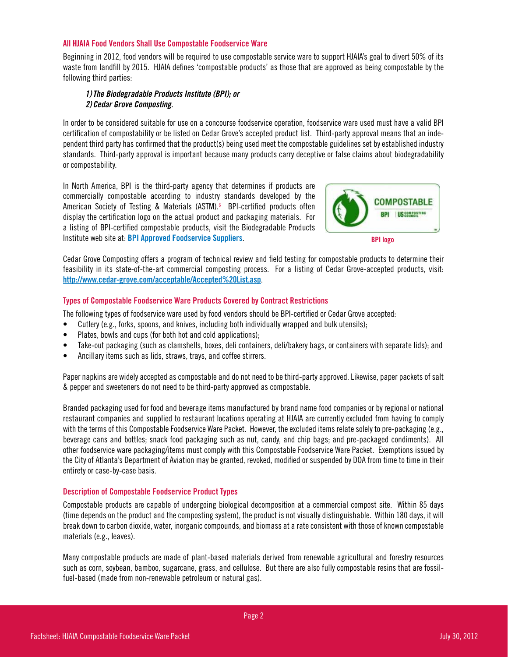# All HJAIA Food Vendors Shall Use Compostable Foodservice Ware

Beginning in 2012, food vendors will be required to use compostable service ware to support HJAIA's goal to divert 50% of its waste from landfill by 2015. HJAIA defines 'compostable products' as those that are approved as being compostable by the following third parties:

# *1)The Biodegradable Products Institute (BPI); or 2) Cedar Grove Composting.*

In order to be considered suitable for use on a concourse foodservice operation, foodservice ware used must have a valid BPI certification of compostability or be listed on Cedar Grove's accepted product list. Third-party approval means that an independent third party has confirmed that the product(s) being used meet the compostable guidelines set by established industry standards. Third-party approval is important because many products carry deceptive or false claims about biodegradability or compostability.

In North America, BPI is the third-party agency that determines if products are commercially compostable according to industry standards developed by the American Society of Testing & Materials (ASTM).<sup>6</sup> BPI-certified products often display the certification logo on the actual product and packaging materials. For a listing of BPI-certified compostable products, visit the Biodegradable Products Institute web site at: [BPI Approved Foodservice Suppliers](http://www.bpiworld.org/Certified-Bioedgradable-Foodservice-Items-Plates-Cups-Utinsels).



Cedar Grove Composting offers a program of technical review and field testing for compostable products to determine their feasibility in its state-of-the-art commercial composting process. For a listing of Cedar Grove-accepted products, visit: <http://www.cedar-grove.com/acceptable/Accepted%20List.asp>.

# Types of Compostable Foodservice Ware Products Covered by Contract Restrictions

The following types of foodservice ware used by food vendors should be BPI-certified or Cedar Grove accepted:

- Cutlery (e.g., forks, spoons, and knives, including both individually wrapped and bulk utensils);
- Plates, bowls and cups (for both hot and cold applications);
- Take-out packaging (such as clamshells, boxes, deli containers, deli/bakery bags, or containers with separate lids); and
- • Ancillary items such as lids, straws, trays, and coffee stirrers.

Paper napkins are widely accepted as compostable and do not need to be third-party approved. Likewise, paper packets of salt & pepper and sweeteners do not need to be third-party approved as compostable.

Branded packaging used for food and beverage items manufactured by brand name food companies or by regional or national restaurant companies and supplied to restaurant locations operating at HJAIA are currently excluded from having to comply with the terms of this Compostable Foodservice Ware Packet. However, the excluded items relate solely to pre-packaging (e.g., beverage cans and bottles; snack food packaging such as nut, candy, and chip bags; and pre-packaged condiments). All other foodservice ware packaging/items must comply with this Compostable Foodservice Ware Packet. Exemptions issued by the City of Atlanta's Department of Aviation may be granted, revoked, modified or suspended by DOA from time to time in their entirety or case-by-case basis.

# Description of Compostable Foodservice Product Types

Compostable products are capable of undergoing biological decomposition at a commercial compost site. Within 85 days (time depends on the product and the composting system), the product is not visually distinguishable. Within 180 days, it will break down to carbon dioxide, water, inorganic compounds, and biomass at a rate consistent with those of known compostable materials (e.g., leaves).

Many compostable products are made of plant-based materials derived from renewable agricultural and forestry resources such as corn, soybean, bamboo, sugarcane, grass, and cellulose. But there are also fully compostable resins that are fossilfuel-based (made from non-renewable petroleum or natural gas).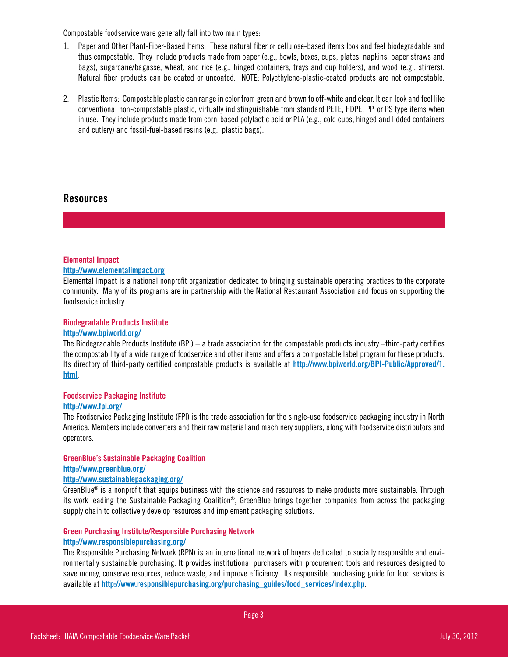Compostable foodservice ware generally fall into two main types:

- 1. Paper and Other Plant-Fiber-Based Items: These natural fiber or cellulose-based items look and feel biodegradable and thus compostable. They include products made from paper (e.g., bowls, boxes, cups, plates, napkins, paper straws and bags), sugarcane/bagasse, wheat, and rice (e.g., hinged containers, trays and cup holders), and wood (e.g., stirrers). Natural fiber products can be coated or uncoated. NOTE: Polyethylene-plastic-coated products are not compostable.
- 2. Plastic Items: Compostable plastic can range in color from green and brown to off-white and clear. It can look and feel like conventional non-compostable plastic, virtually indistinguishable from standard PETE, HDPE, PP, or PS type items when in use. They include products made from corn-based polylactic acid or PLA (e.g., cold cups, hinged and lidded containers and cutlery) and fossil-fuel-based resins (e.g., plastic bags).

# Resources

# Elemental Impact

# <http://www.elementalimpact.org>

Elemental Impact is a national nonprofit organization dedicated to bringing sustainable operating practices to the corporate community. Many of its programs are in partnership with the National Restaurant Association and focus on supporting the foodservice industry.

# Biodegradable Products Institute

#### <http://www.bpiworld.org/>

The Biodegradable Products Institute (BPI) – a trade association for the compostable products industry –third-party certifies the compostability of a wide range of foodservice and other items and offers a compostable label program for these products. Its directory of third-party certified compostable products is available at [http://www.bpiworld.org/BPI-Public/Approved/1.](http://www.bpiworld.org/BPI-Public/Approved/1.html) [html](http://www.bpiworld.org/BPI-Public/Approved/1.html).

# Foodservice Packaging Institute

#### <http://www.fpi.org/>

The Foodservice Packaging Institute (FPI) is the trade association for the single-use foodservice packaging industry in North America. Members include converters and their raw material and machinery suppliers, along with foodservice distributors and operators.

# GreenBlue's Sustainable Packaging Coalition <http://www.greenblue.org/>

#### <http://www.sustainablepackaging.org/>

GreenBlue<sup>®</sup> is a nonprofit that equips business with the science and resources to make products more sustainable. Through its work leading the Sustainable Packaging Coalition®, GreenBlue brings together companies from across the packaging supply chain to collectively develop resources and implement packaging solutions.

# Green Purchasing Institute/Responsible Purchasing Network

# <http://www.responsiblepurchasing.org/>

The Responsible Purchasing Network (RPN) is an international network of buyers dedicated to socially responsible and environmentally sustainable purchasing. It provides institutional purchasers with procurement tools and resources designed to save money, conserve resources, reduce waste, and improve efficiency. Its responsible purchasing guide for food services is available at [http://www.responsiblepurchasing.org/purchasing\\_guides/food\\_services/index.php](http://www.responsiblepurchasing.org/purchasing_guides/food_services/index.php).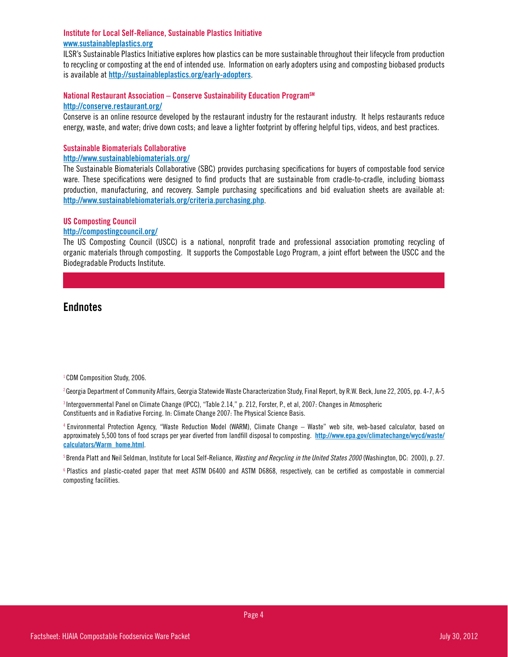# Institute for Local Self-Reliance, Sustainable Plastics Initiative <www.sustainableplastics.org>

ILSR's Sustainable Plastics Initiative explores how plastics can be more sustainable throughout their lifecycle from production to recycling or composting at the end of intended use. Information on early adopters using and composting biobased products is available at <http://sustainableplastics.org/early-adopters>.

# National Restaurant Association – Conserve Sustainability Education Program<sup>SM</sup> <http://conserve.restaurant.org/>

Conserve is an online resource developed by the restaurant industry for the restaurant industry. It helps restaurants reduce energy, waste, and water; drive down costs; and leave a lighter footprint by offering helpful tips, videos, and best practices.

# Sustainable Biomaterials Collaborative

#### <http://www.sustainablebiomaterials.org/>

The Sustainable Biomaterials Collaborative (SBC) provides purchasing specifications for buyers of compostable food service ware. These specifications were designed to find products that are sustainable from cradle-to-cradle, including biomass production, manufacturing, and recovery. Sample purchasing specifications and bid evaluation sheets are available at: <http://www.sustainablebiomaterials.org/criteria.purchasing.php>.

# US Composting Council

#### <http://compostingcouncil.org/>

The US Composting Council (USCC) is a national, nonprofit trade and professional association promoting recycling of organic materials through composting. It supports the Compostable Logo Program, a joint effort between the USCC and the Biodegradable Products Institute.

# **Endnotes**

<sup>1</sup> CDM Composition Study, 2006.

2 Georgia Department of Community Affairs, Georgia Statewide Waste Characterization Study, Final Report, by R.W. Beck, June 22, 2005, pp. 4-7, A-5

3 Intergovernmental Panel on Climate Change (IPCC), "Table 2.14," p. 212, Forster, P., et al, 2007: Changes in Atmospheric Constituents and in Radiative Forcing. In: Climate Change 2007: The Physical Science Basis.

4 Environmental Protection Agency, "Waste Reduction Model (WARM), Climate Change – Waste" web site, web-based calculator, based on approximately 5,500 tons of food scraps per year diverted from landfill disposal to composting. [http://www.epa.gov/climatechange/wycd/waste/](http://www.epa.gov/climatechange/wycd/waste/calculators/Warm_home.html) [calculators/Warm\\_home.html](http://www.epa.gov/climatechange/wycd/waste/calculators/Warm_home.html).

<sup>5</sup> Brenda Platt and Neil Seldman, Institute for Local Self-Reliance, Wasting and Recycling in the United States 2000 (Washington, DC: 2000), p. 27.

6 Plastics and plastic-coated paper that meet ASTM D6400 and ASTM D6868, respectively, can be certified as compostable in commercial composting facilities.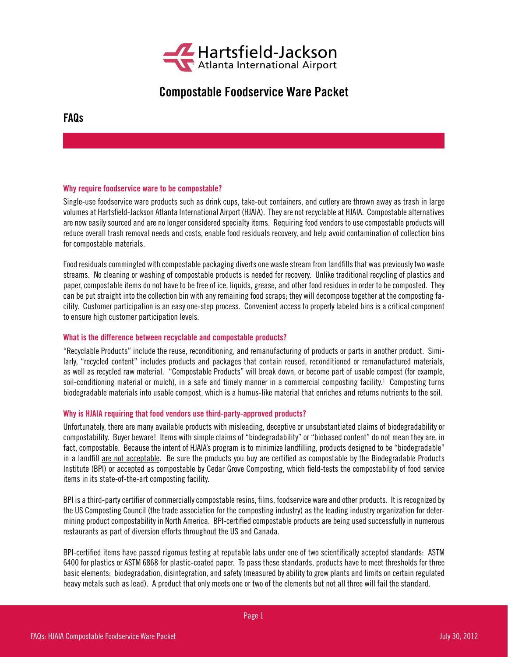

# Compostable Foodservice Ware Packet

FAQs

# Why require foodservice ware to be compostable?

Single-use foodservice ware products such as drink cups, take-out containers, and cutlery are thrown away as trash in large volumes at Hartsfield-Jackson Atlanta International Airport (HJAIA). They are not recyclable at HJAIA. Compostable alternatives are now easily sourced and are no longer considered specialty items. Requiring food vendors to use compostable products will reduce overall trash removal needs and costs, enable food residuals recovery, and help avoid contamination of collection bins for compostable materials.

Food residuals commingled with compostable packaging diverts one waste stream from landfills that was previously two waste streams. No cleaning or washing of compostable products is needed for recovery. Unlike traditional recycling of plastics and paper, compostable items do not have to be free of ice, liquids, grease, and other food residues in order to be composted. They can be put straight into the collection bin with any remaining food scraps; they will decompose together at the composting facility. Customer participation is an easy one-step process. Convenient access to properly labeled bins is a critical component to ensure high customer participation levels.

#### What is the difference between recyclable and compostable products?

"Recyclable Products" include the reuse, reconditioning, and remanufacturing of products or parts in another product. Similarly, "recycled content" includes products and packages that contain reused, reconditioned or remanufactured materials, as well as recycled raw material. "Compostable Products" will break down, or become part of usable compost (for example, soil-conditioning material or mulch), in a safe and timely manner in a commercial composting facility.<sup>1</sup> Composting turns biodegradable materials into usable compost, which is a humus-like material that enriches and returns nutrients to the soil.

# Why is HJAIA requiring that food vendors use third-party-approved products?

Unfortunately, there are many available products with misleading, deceptive or unsubstantiated claims of biodegradability or compostability. Buyer beware! Items with simple claims of "biodegradability" or "biobased content" do not mean they are, in fact, compostable. Because the intent of HJAIA's program is to minimize landfilling, products designed to be "biodegradable" in a landfill are not acceptable. Be sure the products you buy are certified as compostable by the Biodegradable Products Institute (BPI) or accepted as compostable by Cedar Grove Composting, which field-tests the compostability of food service items in its state-of-the-art composting facility.

BPI is a third-party certifier of commercially compostable resins, films, foodservice ware and other products. It is recognized by the US Composting Council (the trade association for the composting industry) as the leading industry organization for determining product compostability in North America. BPI-certified compostable products are being used successfully in numerous restaurants as part of diversion efforts throughout the US and Canada.

BPI-certified items have passed rigorous testing at reputable labs under one of two scientifically accepted standards: ASTM 6400 for plastics or ASTM 6868 for plastic-coated paper. To pass these standards, products have to meet thresholds for three basic elements: biodegradation, disintegration, and safety (measured by ability to grow plants and limits on certain regulated heavy metals such as lead). A product that only meets one or two of the elements but not all three will fail the standard.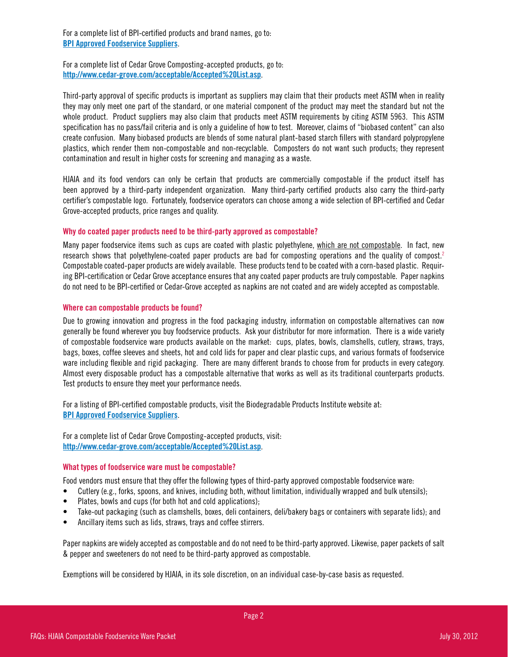For a complete list of BPI-certified products and brand names, go to: [BPI Approved Foodservice Suppliers](http://www.bpiworld.org/Certified-Bioedgradable-Foodservice-Items-Plates-Cups-Utinsels).

For a complete list of Cedar Grove Composting-accepted products, go to: <http://www.cedar-grove.com/acceptable/Accepted%20List.asp>.

Third-party approval of specific products is important as suppliers may claim that their products meet ASTM when in reality they may only meet one part of the standard, or one material component of the product may meet the standard but not the whole product. Product suppliers may also claim that products meet ASTM requirements by citing ASTM 5963. This ASTM specification has no pass/fail criteria and is only a guideline of how to test. Moreover, claims of "biobased content" can also create confusion. Many biobased products are blends of some natural plant-based starch fillers with standard polypropylene plastics, which render them non-compostable and non-recyclable. Composters do not want such products; they represent contamination and result in higher costs for screening and managing as a waste.

HJAIA and its food vendors can only be certain that products are commercially compostable if the product itself has been approved by a third-party independent organization. Many third-party certified products also carry the third-party certifier's compostable logo. Fortunately, foodservice operators can choose among a wide selection of BPI-certified and Cedar Grove-accepted products, price ranges and quality.

# Why do coated paper products need to be third-party approved as compostable?

Many paper foodservice items such as cups are coated with plastic polyethylene, which are not compostable. In fact, new research shows that polyethylene-coated paper products are bad for composting operations and the quality of compost.<sup>2</sup> Compostable coated-paper products are widely available. These products tend to be coated with a corn-based plastic. Requiring BPI-certification or Cedar Grove acceptance ensures that any coated paper products are truly compostable. Paper napkins do not need to be BPI-certified or Cedar-Grove accepted as napkins are not coated and are widely accepted as compostable.

# Where can compostable products be found?

Due to growing innovation and progress in the food packaging industry, information on compostable alternatives can now generally be found wherever you buy foodservice products. Ask your distributor for more information. There is a wide variety of compostable foodservice ware products available on the market: cups, plates, bowls, clamshells, cutlery, straws, trays, bags, boxes, coffee sleeves and sheets, hot and cold lids for paper and clear plastic cups, and various formats of foodservice ware including flexible and rigid packaging. There are many different brands to choose from for products in every category. Almost every disposable product has a compostable alternative that works as well as its traditional counterparts products. Test products to ensure they meet your performance needs.

For a listing of BPI-certified compostable products, visit the Biodegradable Products Institute website at: [BPI Approved Foodservice Suppliers](http://www.bpiworld.org/Certified-Bioedgradable-Foodservice-Items-Plates-Cups-Utinsels).

For a complete list of Cedar Grove Composting-accepted products, visit: http://www.cedar-grove.com/acceptable/Accepted%20List.asp.

# What types of foodservice ware must be compostable?

Food vendors must ensure that they offer the following types of third-party approved compostable foodservice ware:

- Cutlery (e.g., forks, spoons, and knives, including both, without limitation, individually wrapped and bulk utensils);
- Plates, bowls and cups (for both hot and cold applications);
- Take-out packaging (such as clamshells, boxes, deli containers, deli/bakery bags or containers with separate lids); and
- Ancillary items such as lids, straws, trays and coffee stirrers.

Paper napkins are widely accepted as compostable and do not need to be third-party approved. Likewise, paper packets of salt & pepper and sweeteners do not need to be third-party approved as compostable.

Exemptions will be considered by HJAIA, in its sole discretion, on an individual case-by-case basis as requested.